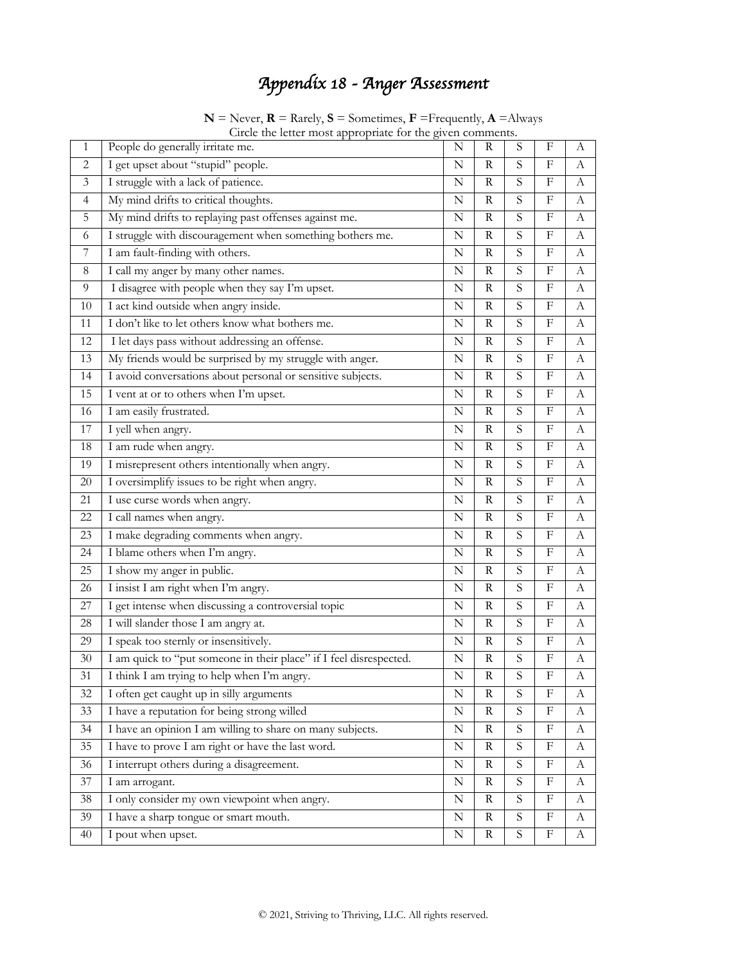# *Appendix 18 - Anger Assessment*

| Circle the letter most appropriate for the given comments. |                                                                    |             |              |                |                           |              |  |  |  |  |
|------------------------------------------------------------|--------------------------------------------------------------------|-------------|--------------|----------------|---------------------------|--------------|--|--|--|--|
| 1                                                          | People do generally irritate me.                                   | N           | R            | S              | F                         | A            |  |  |  |  |
| 2                                                          | I get upset about "stupid" people.                                 | N           | R            | S              | $_{\rm F}$                | А            |  |  |  |  |
| $\mathfrak{Z}$                                             | I struggle with a lack of patience.                                | N           | R            | S              | $\rm F$                   | $\mathbf{A}$ |  |  |  |  |
| 4                                                          | My mind drifts to critical thoughts.                               | N           | R            | S              | F                         | А            |  |  |  |  |
| 5                                                          | My mind drifts to replaying past offenses against me.              | N           | R            | S              | F                         | А            |  |  |  |  |
| 6                                                          | I struggle with discouragement when something bothers me.          | $\mathbf N$ | $\mathbb{R}$ | S              | $\boldsymbol{\mathrm{F}}$ | A            |  |  |  |  |
| 7                                                          | $\overline{I}$ am fault-finding with others.                       | N           | R            | S              | F                         | A            |  |  |  |  |
| 8                                                          | I call my anger by many other names.                               | N           | $\mathbb{R}$ | S              | F                         | A            |  |  |  |  |
| 9                                                          | I disagree with people when they say I'm upset.                    | N           | R            | S              | F                         | A            |  |  |  |  |
| 10                                                         | I act kind outside when angry inside.                              | N           | R            | S              | F                         | A            |  |  |  |  |
| 11                                                         | I don't like to let others know what bothers me.                   | N           | $\mathbf R$  | S              | $\rm F$                   | $\mathbf{A}$ |  |  |  |  |
| 12                                                         | I let days pass without addressing an offense.                     | N           | $\mathbb{R}$ | $\overline{S}$ | F                         | А            |  |  |  |  |
| 13                                                         | My friends would be surprised by my struggle with anger.           | $\mathbf N$ | $\mathbb{R}$ | S              | $\boldsymbol{\mathrm{F}}$ | $\mathbf{A}$ |  |  |  |  |
| 14                                                         | I avoid conversations about personal or sensitive subjects.        | N           | R            | S              | F                         | А            |  |  |  |  |
| 15                                                         | I vent at or to others when I'm upset.                             | N           | $\rm R$      | $\overline{S}$ | $\rm F$                   | $\mathbf{A}$ |  |  |  |  |
| 16                                                         | I am easily frustrated.                                            | N           | $\mathbf R$  | S              | F                         | A            |  |  |  |  |
| 17                                                         | I yell when angry.                                                 | N           | R            | S              | F                         | А            |  |  |  |  |
| 18                                                         | I am rude when angry.                                              | N           | $\mathbb{R}$ | S              | F                         | А            |  |  |  |  |
| 19                                                         | I misrepresent others intentionally when angry.                    | N           | R            | S              | F                         | A            |  |  |  |  |
| $20\,$                                                     | I oversimplify issues to be right when angry.                      | N           | $\mathbf R$  | S              | $\rm F$                   | $\mathbf{A}$ |  |  |  |  |
| 21                                                         | I use curse words when angry.                                      | N           | R            | S              | F                         | А            |  |  |  |  |
| 22                                                         | I call names when angry.                                           | N           | R            | S              | F                         | A            |  |  |  |  |
| 23                                                         | I make degrading comments when angry.                              | N           | R            | S              | F                         | А            |  |  |  |  |
| 24                                                         | I blame others when I'm angry.                                     | N           | $\mathbb{R}$ | $\overline{S}$ | F                         | А            |  |  |  |  |
| 25                                                         | I show my anger in public.                                         | $\mathbf N$ | $\rm R$      | S              | $\rm F$                   | $\mathbf{A}$ |  |  |  |  |
| 26                                                         | I insist I am right when I'm angry.                                | N           | R            | S              | F                         | А            |  |  |  |  |
| 27                                                         | I get intense when discussing a controversial topic                | N           | R            | S              | F                         | $\mathbf{A}$ |  |  |  |  |
| 28                                                         | I will slander those I am angry at.                                | N           | R            | S              | F                         | А            |  |  |  |  |
| 29                                                         | I speak too sternly or insensitively.                              | N           | R            | S              | $\boldsymbol{\mathrm{F}}$ | A            |  |  |  |  |
| 30                                                         | I am quick to "put someone in their place" if I feel disrespected. | N           | $\mathbb{R}$ | S              | F                         | A            |  |  |  |  |
| 31                                                         | I think I am trying to help when I'm angry.                        | N           | R            | S              | F                         | А            |  |  |  |  |
| 32                                                         | I often get caught up in silly arguments                           | N           | R            | S              | $\boldsymbol{\mathrm{F}}$ | A            |  |  |  |  |
| 33                                                         | I have a reputation for being strong willed                        | N           | R            | $\overline{S}$ | $_{\rm F}$                | A            |  |  |  |  |
| 34                                                         | I have an opinion I am willing to share on many subjects.          | ${\bf N}$   | R            | $\mathbf S$    | F                         | A            |  |  |  |  |
| 35                                                         | I have to prove I am right or have the last word.                  | ${\bf N}$   | $\mathbb{R}$ | ${\mathcal S}$ | $_{\rm F}$                | A            |  |  |  |  |
| 36                                                         | I interrupt others during a disagreement.                          | N           | $\mathbb{R}$ | $\overline{S}$ | F                         | A            |  |  |  |  |
| 37                                                         | I am arrogant.                                                     | ${\bf N}$   | $\mathbb{R}$ | S              | $\rm F$                   | A            |  |  |  |  |
| 38                                                         | I only consider my own viewpoint when angry.                       | N           | R            | $\mathbf S$    | F                         | А            |  |  |  |  |
| 39                                                         | I have a sharp tongue or smart mouth.                              | N           | R            | $\overline{S}$ | $\boldsymbol{\mathrm{F}}$ | $\bf{A}$     |  |  |  |  |
| 40                                                         | I pout when upset.                                                 | N           | R            | $\mathbf S$    | F                         | А            |  |  |  |  |

 $N =$  Never,  $R =$  Rarely,  $S =$  Sometimes,  $F =$  Frequently,  $A =$  Always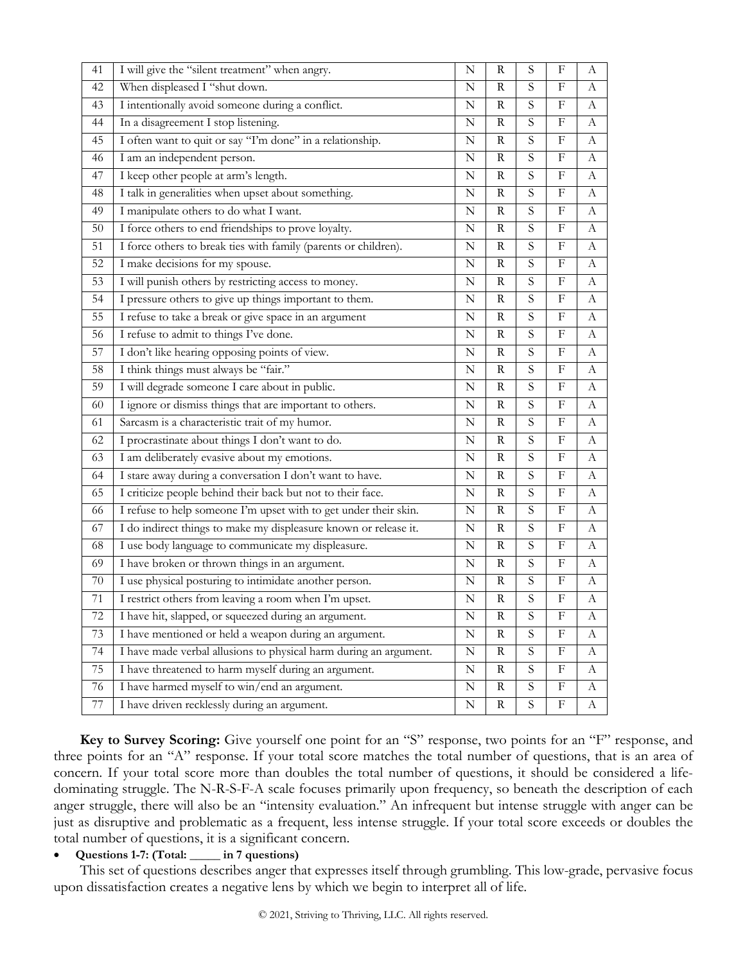| 41     | I will give the "silent treatment" when angry.                    | N           | R              | S              | F                         | А                |
|--------|-------------------------------------------------------------------|-------------|----------------|----------------|---------------------------|------------------|
| 42     | When displeased I "shut down.                                     | N           | $\mathbf R$    | S              | F                         | А                |
| 43     | I intentionally avoid someone during a conflict.                  | N           | $\mathbb{R}$   | S              | F                         | А                |
| 44     | In a disagreement I stop listening.                               | N           | $\rm R$        | S              | $\boldsymbol{\mathrm{F}}$ | $\boldsymbol{A}$ |
| 45     | I often want to quit or say "I'm done" in a relationship.         | N           | $\mathbb{R}$   | $\mathbf S$    | F                         | A                |
| 46     | I am an independent person.                                       | N           | $\mathbb{R}$   | $\mathbf S$    | F                         | А                |
| 47     | I keep other people at arm's length.                              | N           | $\rm R$        | S              | $\boldsymbol{\mathrm{F}}$ | A                |
| 48     | I talk in generalities when upset about something.                | N           | R              | S              | F                         | А                |
| 49     | I manipulate others to do what I want.                            | N           | $\overline{R}$ | $\overline{S}$ | ${\bf F}$                 | $\mathbf{A}$     |
| 50     | I force others to end friendships to prove loyalty.               | N           | $\mathbb{R}$   | $\mathbf S$    | F                         | А                |
| 51     | I force others to break ties with family (parents or children).   | N           | R              | $\mathbf S$    | F                         | A                |
| 52     | I make decisions for my spouse.                                   | $\mathbf N$ | $\mathbb{R}$   | S              | F                         | A                |
| 53     | I will punish others by restricting access to money.              | N           | R              | $\mathbf S$    | F                         | А                |
| 54     | I pressure others to give up things important to them.            | N           | $\rm R$        | S              | $\boldsymbol{\mathrm{F}}$ | A                |
| 55     | I refuse to take a break or give space in an argument             | N           | $\mathbb{R}$   | S              | F                         | А                |
| 56     | I refuse to admit to things I've done.                            | N           | $\rm R$        | S              | $\boldsymbol{\mathrm{F}}$ | A                |
| 57     | I don't like hearing opposing points of view.                     | N           | R              | $\mathbf S$    | F                         | A                |
| 58     | I think things must always be "fair."                             | N           | $\mathbb{R}$   | $\mathbf S$    | F                         | А                |
| 59     | I will degrade someone I care about in public.                    | N           | ${\bf R}$      | $\overline{S}$ | $\boldsymbol{\mathrm{F}}$ | $\mathbf{A}$     |
| 60     | I ignore or dismiss things that are important to others.          | Ν           | R              | S              | F                         | А                |
| 61     | Sarcasm is a characteristic trait of my humor.                    | N           | $\rm R$        | $\overline{S}$ | $\boldsymbol{\mathrm{F}}$ | A                |
| 62     | I procrastinate about things I don't want to do.                  | N           | $\mathbb{R}$   | $\mathbf S$    | F                         | А                |
| 63     | I am deliberately evasive about my emotions.                      | N           | $\mathbb{R}$   | $\mathbf S$    | $\boldsymbol{\mathrm{F}}$ | A                |
| 64     | I stare away during a conversation I don't want to have.          | N           | $\mathbb{R}$   | S              | $\boldsymbol{\mathrm{F}}$ | А                |
| 65     | I criticize people behind their back but not to their face.       | N           | R              | $\mathbf S$    | F                         | А                |
| 66     | I refuse to help someone I'm upset with to get under their skin.  | $\mathbf N$ | $\mathbb{R}$   | S              | F                         | А                |
| 67     | I do indirect things to make my displeasure known or release it.  | N           | $\mathbb{R}$   | $\mathbf S$    | F                         | А                |
| 68     | I use body language to communicate my displeasure.                | $\mathbf N$ | $\rm R$        | S              | $\boldsymbol{\mathrm{F}}$ | $\boldsymbol{A}$ |
| 69     | I have broken or thrown things in an argument.                    | N           | R              | S              | F                         | A                |
| $70\,$ | I use physical posturing to intimidate another person.            | N           | $\mathbf R$    | ${\mathcal S}$ | $\boldsymbol{\mathrm{F}}$ | А                |
| 71     | I restrict others from leaving a room when I'm upset.             | $\mathbf N$ | $\rm R$        | $\overline{S}$ | ${\bf F}$                 | $\mathbf{A}$     |
| 72     | I have hit, slapped, or squeezed during an argument.              | Ν           | R              | $\mathbf S$    | F                         | А                |
| 73     | I have mentioned or held a weapon during an argument.             | N           | $\rm R$        | $\overline{S}$ | $\boldsymbol{\mathrm{F}}$ | А                |
| 74     | I have made verbal allusions to physical harm during an argument. | N           | R              | S              | F                         | А                |
| 75     | I have threatened to harm myself during an argument.              | N           | R              | S              | F                         | A                |
| 76     | I have harmed myself to win/end an argument.                      | ${\bf N}$   | $\mathbf R$    | S              | ${\bf F}$                 | A                |
| 77     | I have driven recklessly during an argument.                      | N           | $\mathbf R$    | S              | $\boldsymbol{\mathrm{F}}$ | А                |

**Key to Survey Scoring:** Give yourself one point for an "S" response, two points for an "F" response, and three points for an "A" response. If your total score matches the total number of questions, that is an area of concern. If your total score more than doubles the total number of questions, it should be considered a lifedominating struggle. The N-R-S-F-A scale focuses primarily upon frequency, so beneath the description of each anger struggle, there will also be an "intensity evaluation." An infrequent but intense struggle with anger can be just as disruptive and problematic as a frequent, less intense struggle. If your total score exceeds or doubles the total number of questions, it is a significant concern.

#### • **Questions 1-7: (Total: \_\_\_\_\_ in 7 questions)**

This set of questions describes anger that expresses itself through grumbling. This low-grade, pervasive focus upon dissatisfaction creates a negative lens by which we begin to interpret all of life.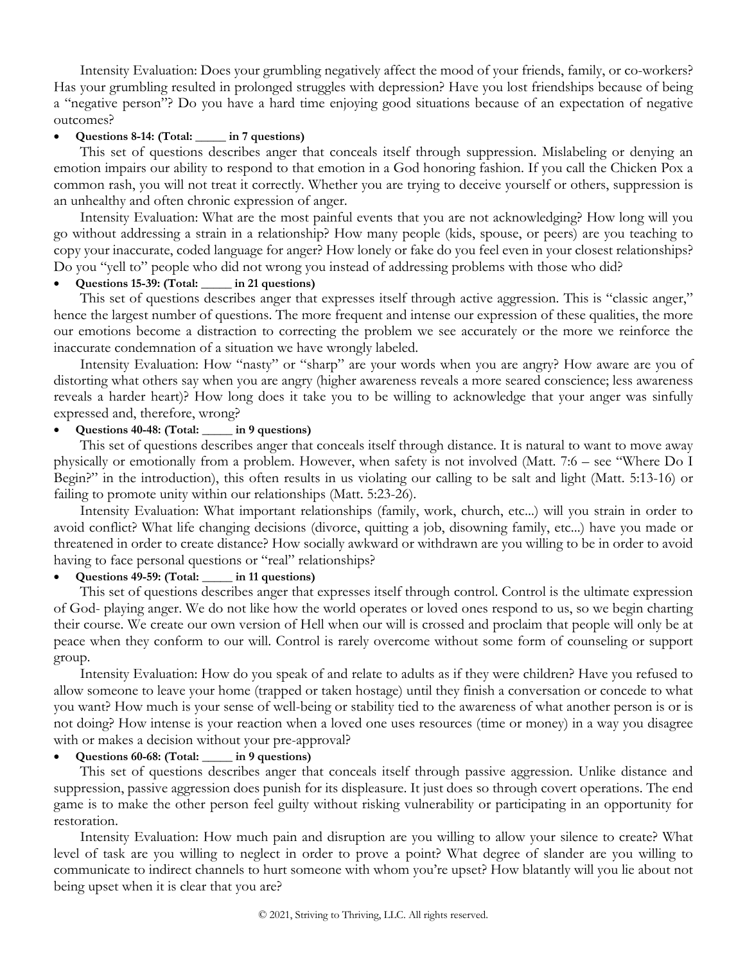Intensity Evaluation: Does your grumbling negatively affect the mood of your friends, family, or co-workers? Has your grumbling resulted in prolonged struggles with depression? Have you lost friendships because of being a "negative person"? Do you have a hard time enjoying good situations because of an expectation of negative outcomes?

## • **Questions 8-14: (Total: \_\_\_\_\_ in 7 questions)**

This set of questions describes anger that conceals itself through suppression. Mislabeling or denying an emotion impairs our ability to respond to that emotion in a God honoring fashion. If you call the Chicken Pox a common rash, you will not treat it correctly. Whether you are trying to deceive yourself or others, suppression is an unhealthy and often chronic expression of anger.

Intensity Evaluation: What are the most painful events that you are not acknowledging? How long will you go without addressing a strain in a relationship? How many people (kids, spouse, or peers) are you teaching to copy your inaccurate, coded language for anger? How lonely or fake do you feel even in your closest relationships? Do you "yell to" people who did not wrong you instead of addressing problems with those who did?

#### • **Questions 15-39: (Total: \_\_\_\_\_ in 21 questions)**

This set of questions describes anger that expresses itself through active aggression. This is "classic anger," hence the largest number of questions. The more frequent and intense our expression of these qualities, the more our emotions become a distraction to correcting the problem we see accurately or the more we reinforce the inaccurate condemnation of a situation we have wrongly labeled.

Intensity Evaluation: How "nasty" or "sharp" are your words when you are angry? How aware are you of distorting what others say when you are angry (higher awareness reveals a more seared conscience; less awareness reveals a harder heart)? How long does it take you to be willing to acknowledge that your anger was sinfully expressed and, therefore, wrong?

## • **Questions 40-48: (Total: \_\_\_\_\_ in 9 questions)**

This set of questions describes anger that conceals itself through distance. It is natural to want to move away physically or emotionally from a problem. However, when safety is not involved (Matt. 7:6 – see "Where Do I Begin?" in the introduction), this often results in us violating our calling to be salt and light (Matt. 5:13-16) or failing to promote unity within our relationships (Matt. 5:23-26).

Intensity Evaluation: What important relationships (family, work, church, etc...) will you strain in order to avoid conflict? What life changing decisions (divorce, quitting a job, disowning family, etc...) have you made or threatened in order to create distance? How socially awkward or withdrawn are you willing to be in order to avoid having to face personal questions or "real" relationships?

## • **Questions 49-59: (Total: \_\_\_\_\_ in 11 questions)**

This set of questions describes anger that expresses itself through control. Control is the ultimate expression of God- playing anger. We do not like how the world operates or loved ones respond to us, so we begin charting their course. We create our own version of Hell when our will is crossed and proclaim that people will only be at peace when they conform to our will. Control is rarely overcome without some form of counseling or support group.

Intensity Evaluation: How do you speak of and relate to adults as if they were children? Have you refused to allow someone to leave your home (trapped or taken hostage) until they finish a conversation or concede to what you want? How much is your sense of well-being or stability tied to the awareness of what another person is or is not doing? How intense is your reaction when a loved one uses resources (time or money) in a way you disagree with or makes a decision without your pre-approval?

## • **Questions 60-68: (Total: \_\_\_\_\_ in 9 questions)**

This set of questions describes anger that conceals itself through passive aggression. Unlike distance and suppression, passive aggression does punish for its displeasure. It just does so through covert operations. The end game is to make the other person feel guilty without risking vulnerability or participating in an opportunity for restoration.

Intensity Evaluation: How much pain and disruption are you willing to allow your silence to create? What level of task are you willing to neglect in order to prove a point? What degree of slander are you willing to communicate to indirect channels to hurt someone with whom you're upset? How blatantly will you lie about not being upset when it is clear that you are?